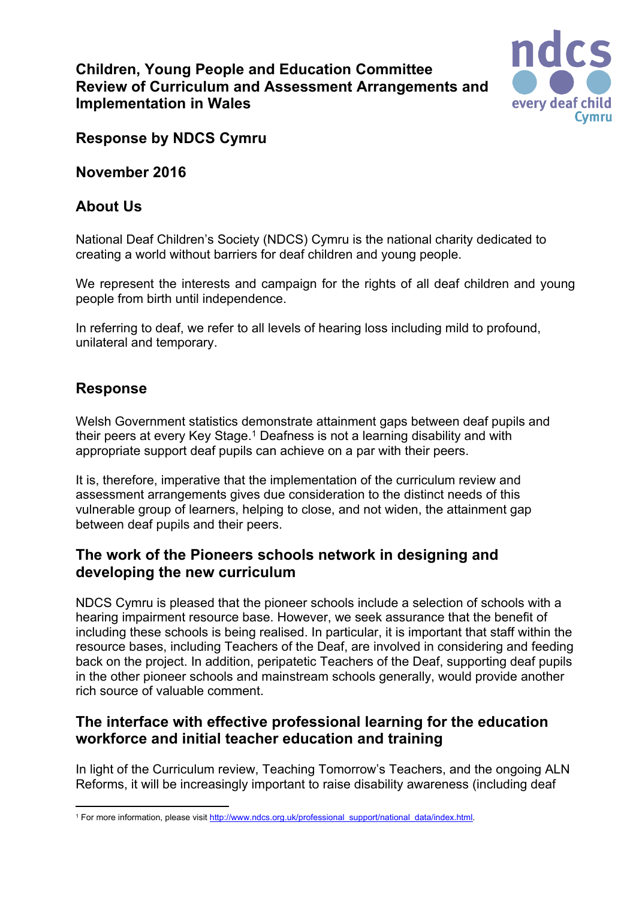## **Children, Young People and Education Committee Review of Curriculum and Assessment Arrangements and Implementation in Wales**



## **Response by NDCS Cymru**

**November 2016**

# **About Us**

National Deaf Children's Society (NDCS) Cymru is the national charity dedicated to creating a world without barriers for deaf children and young people.

We represent the interests and campaign for the rights of all deaf children and young people from birth until independence.

In referring to deaf, we refer to all levels of hearing loss including mild to profound, unilateral and temporary.

## **Response**

Welsh Government statistics demonstrate attainment gaps between deaf pupils and their peers at every Key Stage.<sup>1</sup> Deafness is not a learning disability and with appropriate support deaf pupils can achieve on a par with their peers.

It is, therefore, imperative that the implementation of the curriculum review and assessment arrangements gives due consideration to the distinct needs of this vulnerable group of learners, helping to close, and not widen, the attainment gap between deaf pupils and their peers.

## **The work of the Pioneers schools network in designing and developing the new curriculum**

NDCS Cymru is pleased that the pioneer schools include a selection of schools with a hearing impairment resource base. However, we seek assurance that the benefit of including these schools is being realised. In particular, it is important that staff within the resource bases, including Teachers of the Deaf, are involved in considering and feeding back on the project. In addition, peripatetic Teachers of the Deaf, supporting deaf pupils in the other pioneer schools and mainstream schools generally, would provide another rich source of valuable comment.

# **The interface with effective professional learning for the education workforce and initial teacher education and training**

In light of the Curriculum review, Teaching Tomorrow's Teachers, and the ongoing ALN Reforms, it will be increasingly important to raise disability awareness (including deaf

<sup>1</sup> For more information, please visit [http://www.ndcs.org.uk/professional\\_support/national\\_data/index.html.](http://www.ndcs.org.uk/professional_support/national_data/index.html)